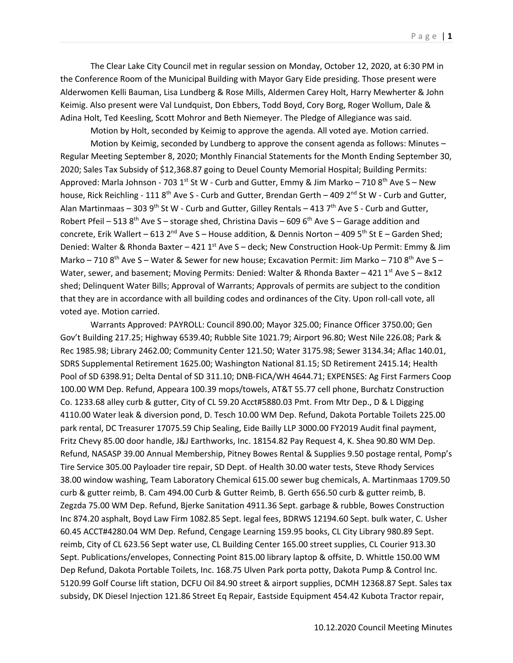The Clear Lake City Council met in regular session on Monday, October 12, 2020, at 6:30 PM in the Conference Room of the Municipal Building with Mayor Gary Eide presiding. Those present were Alderwomen Kelli Bauman, Lisa Lundberg & Rose Mills, Aldermen Carey Holt, Harry Mewherter & John Keimig. Also present were Val Lundquist, Don Ebbers, Todd Boyd, Cory Borg, Roger Wollum, Dale & Adina Holt, Ted Keesling, Scott Mohror and Beth Niemeyer. The Pledge of Allegiance was said.

Motion by Holt, seconded by Keimig to approve the agenda. All voted aye. Motion carried.

Motion by Keimig, seconded by Lundberg to approve the consent agenda as follows: Minutes – Regular Meeting September 8, 2020; Monthly Financial Statements for the Month Ending September 30, 2020; Sales Tax Subsidy of \$12,368.87 going to Deuel County Memorial Hospital; Building Permits: Approved: Marla Johnson - 703 1<sup>st</sup> St W - Curb and Gutter, Emmy & Jim Marko – 710 8<sup>th</sup> Ave S – New house, Rick Reichling - 111  $8^{th}$  Ave S - Curb and Gutter, Brendan Gerth – 409  $2^{nd}$  St W - Curb and Gutter, Alan Martinmaas – 303 9<sup>th</sup> St W - Curb and Gutter, Gilley Rentals – 413 7<sup>th</sup> Ave S - Curb and Gutter, Robert Pfeil – 513 8<sup>th</sup> Ave S – storage shed, Christina Davis – 609 6<sup>th</sup> Ave S – Garage addition and concrete, Erik Wallert – 613 2<sup>nd</sup> Ave S – House addition, & Dennis Norton – 409 5<sup>th</sup> St E – Garden Shed; Denied: Walter & Rhonda Baxter – 421 1<sup>st</sup> Ave S – deck; New Construction Hook-Up Permit: Emmy & Jim Marko – 710 8<sup>th</sup> Ave S – Water & Sewer for new house; Excavation Permit: Jim Marko – 710 8<sup>th</sup> Ave S – Water, sewer, and basement; Moving Permits: Denied: Walter & Rhonda Baxter – 421 1<sup>st</sup> Ave S – 8x12 shed; Delinquent Water Bills; Approval of Warrants; Approvals of permits are subject to the condition that they are in accordance with all building codes and ordinances of the City. Upon roll-call vote, all voted aye. Motion carried.

Warrants Approved: PAYROLL: Council 890.00; Mayor 325.00; Finance Officer 3750.00; Gen Gov't Building 217.25; Highway 6539.40; Rubble Site 1021.79; Airport 96.80; West Nile 226.08; Park & Rec 1985.98; Library 2462.00; Community Center 121.50; Water 3175.98; Sewer 3134.34; Aflac 140.01, SDRS Supplemental Retirement 1625.00; Washington National 81.15; SD Retirement 2415.14; Health Pool of SD 6398.91; Delta Dental of SD 311.10; DNB-FICA/WH 4644.71; EXPENSES: Ag First Farmers Coop 100.00 WM Dep. Refund, Appeara 100.39 mops/towels, AT&T 55.77 cell phone, Burchatz Construction Co. 1233.68 alley curb & gutter, City of CL 59.20 Acct#5880.03 Pmt. From Mtr Dep., D & L Digging 4110.00 Water leak & diversion pond, D. Tesch 10.00 WM Dep. Refund, Dakota Portable Toilets 225.00 park rental, DC Treasurer 17075.59 Chip Sealing, Eide Bailly LLP 3000.00 FY2019 Audit final payment, Fritz Chevy 85.00 door handle, J&J Earthworks, Inc. 18154.82 Pay Request 4, K. Shea 90.80 WM Dep. Refund, NASASP 39.00 Annual Membership, Pitney Bowes Rental & Supplies 9.50 postage rental, Pomp's Tire Service 305.00 Payloader tire repair, SD Dept. of Health 30.00 water tests, Steve Rhody Services 38.00 window washing, Team Laboratory Chemical 615.00 sewer bug chemicals, A. Martinmaas 1709.50 curb & gutter reimb, B. Cam 494.00 Curb & Gutter Reimb, B. Gerth 656.50 curb & gutter reimb, B. Zegzda 75.00 WM Dep. Refund, Bjerke Sanitation 4911.36 Sept. garbage & rubble, Bowes Construction Inc 874.20 asphalt, Boyd Law Firm 1082.85 Sept. legal fees, BDRWS 12194.60 Sept. bulk water, C. Usher 60.45 ACCT#4280.04 WM Dep. Refund, Cengage Learning 159.95 books, CL City Library 980.89 Sept. reimb, City of CL 623.56 Sept water use, CL Building Center 165.00 street supplies, CL Courier 913.30 Sept. Publications/envelopes, Connecting Point 815.00 library laptop & offsite, D. Whittle 150.00 WM Dep Refund, Dakota Portable Toilets, Inc. 168.75 Ulven Park porta potty, Dakota Pump & Control Inc. 5120.99 Golf Course lift station, DCFU Oil 84.90 street & airport supplies, DCMH 12368.87 Sept. Sales tax subsidy, DK Diesel Injection 121.86 Street Eq Repair, Eastside Equipment 454.42 Kubota Tractor repair,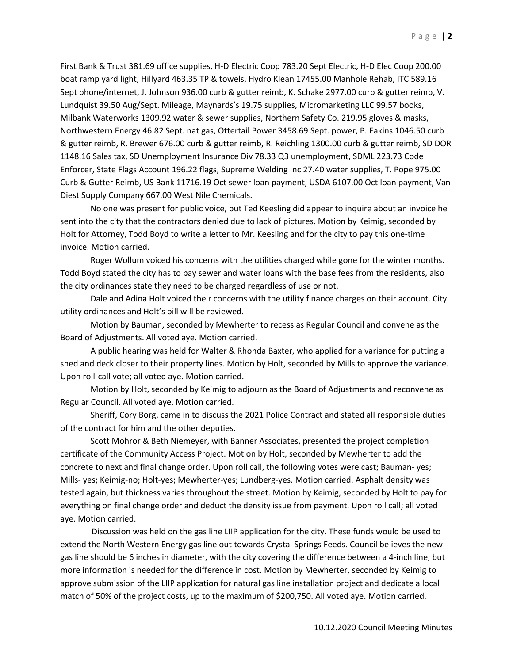First Bank & Trust 381.69 office supplies, H-D Electric Coop 783.20 Sept Electric, H-D Elec Coop 200.00 boat ramp yard light, Hillyard 463.35 TP & towels, Hydro Klean 17455.00 Manhole Rehab, ITC 589.16 Sept phone/internet, J. Johnson 936.00 curb & gutter reimb, K. Schake 2977.00 curb & gutter reimb, V. Lundquist 39.50 Aug/Sept. Mileage, Maynards's 19.75 supplies, Micromarketing LLC 99.57 books, Milbank Waterworks 1309.92 water & sewer supplies, Northern Safety Co. 219.95 gloves & masks, Northwestern Energy 46.82 Sept. nat gas, Ottertail Power 3458.69 Sept. power, P. Eakins 1046.50 curb & gutter reimb, R. Brewer 676.00 curb & gutter reimb, R. Reichling 1300.00 curb & gutter reimb, SD DOR 1148.16 Sales tax, SD Unemployment Insurance Div 78.33 Q3 unemployment, SDML 223.73 Code Enforcer, State Flags Account 196.22 flags, Supreme Welding Inc 27.40 water supplies, T. Pope 975.00 Curb & Gutter Reimb, US Bank 11716.19 Oct sewer loan payment, USDA 6107.00 Oct loan payment, Van Diest Supply Company 667.00 West Nile Chemicals.

No one was present for public voice, but Ted Keesling did appear to inquire about an invoice he sent into the city that the contractors denied due to lack of pictures. Motion by Keimig, seconded by Holt for Attorney, Todd Boyd to write a letter to Mr. Keesling and for the city to pay this one-time invoice. Motion carried.

Roger Wollum voiced his concerns with the utilities charged while gone for the winter months. Todd Boyd stated the city has to pay sewer and water loans with the base fees from the residents, also the city ordinances state they need to be charged regardless of use or not.

Dale and Adina Holt voiced their concerns with the utility finance charges on their account. City utility ordinances and Holt's bill will be reviewed.

Motion by Bauman, seconded by Mewherter to recess as Regular Council and convene as the Board of Adjustments. All voted aye. Motion carried.

A public hearing was held for Walter & Rhonda Baxter, who applied for a variance for putting a shed and deck closer to their property lines. Motion by Holt, seconded by Mills to approve the variance. Upon roll-call vote; all voted aye. Motion carried.

Motion by Holt, seconded by Keimig to adjourn as the Board of Adjustments and reconvene as Regular Council. All voted aye. Motion carried.

Sheriff, Cory Borg, came in to discuss the 2021 Police Contract and stated all responsible duties of the contract for him and the other deputies.

Scott Mohror & Beth Niemeyer, with Banner Associates, presented the project completion certificate of the Community Access Project. Motion by Holt, seconded by Mewherter to add the concrete to next and final change order. Upon roll call, the following votes were cast; Bauman- yes; Mills- yes; Keimig-no; Holt-yes; Mewherter-yes; Lundberg-yes. Motion carried. Asphalt density was tested again, but thickness varies throughout the street. Motion by Keimig, seconded by Holt to pay for everything on final change order and deduct the density issue from payment. Upon roll call; all voted aye. Motion carried.

 Discussion was held on the gas line LIIP application for the city. These funds would be used to extend the North Western Energy gas line out towards Crystal Springs Feeds. Council believes the new gas line should be 6 inches in diameter, with the city covering the difference between a 4-inch line, but more information is needed for the difference in cost. Motion by Mewherter, seconded by Keimig to approve submission of the LIIP application for natural gas line installation project and dedicate a local match of 50% of the project costs, up to the maximum of \$200,750. All voted aye. Motion carried.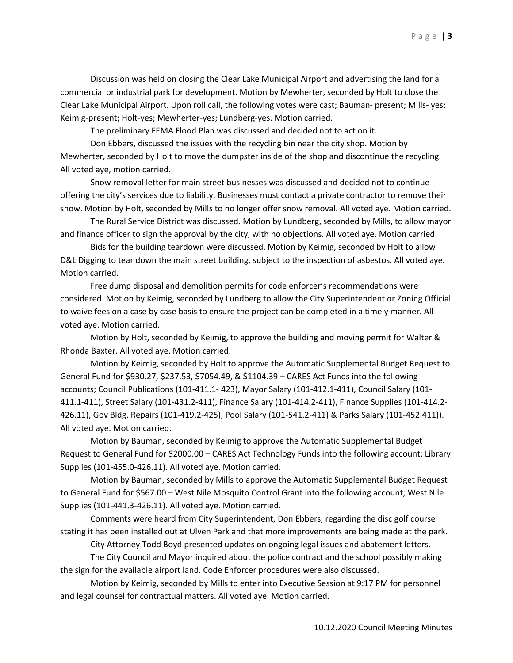Discussion was held on closing the Clear Lake Municipal Airport and advertising the land for a commercial or industrial park for development. Motion by Mewherter, seconded by Holt to close the Clear Lake Municipal Airport. Upon roll call, the following votes were cast; Bauman- present; Mills- yes; Keimig-present; Holt-yes; Mewherter-yes; Lundberg-yes. Motion carried.

The preliminary FEMA Flood Plan was discussed and decided not to act on it.

Don Ebbers, discussed the issues with the recycling bin near the city shop. Motion by Mewherter, seconded by Holt to move the dumpster inside of the shop and discontinue the recycling. All voted aye, motion carried.

Snow removal letter for main street businesses was discussed and decided not to continue offering the city's services due to liability. Businesses must contact a private contractor to remove their snow. Motion by Holt, seconded by Mills to no longer offer snow removal. All voted aye. Motion carried.

The Rural Service District was discussed. Motion by Lundberg, seconded by Mills, to allow mayor and finance officer to sign the approval by the city, with no objections. All voted aye. Motion carried.

Bids for the building teardown were discussed. Motion by Keimig, seconded by Holt to allow D&L Digging to tear down the main street building, subject to the inspection of asbestos. All voted aye. Motion carried.

Free dump disposal and demolition permits for code enforcer's recommendations were considered. Motion by Keimig, seconded by Lundberg to allow the City Superintendent or Zoning Official to waive fees on a case by case basis to ensure the project can be completed in a timely manner. All voted aye. Motion carried.

Motion by Holt, seconded by Keimig, to approve the building and moving permit for Walter & Rhonda Baxter. All voted aye. Motion carried.

Motion by Keimig, seconded by Holt to approve the Automatic Supplemental Budget Request to General Fund for \$930.27, \$237.53, \$7054.49, & \$1104.39 – CARES Act Funds into the following accounts; Council Publications (101-411.1- 423), Mayor Salary (101-412.1-411), Council Salary (101- 411.1-411), Street Salary (101-431.2-411), Finance Salary (101-414.2-411), Finance Supplies (101-414.2- 426.11), Gov Bldg. Repairs (101-419.2-425), Pool Salary (101-541.2-411) & Parks Salary (101-452.411)). All voted aye. Motion carried.

Motion by Bauman, seconded by Keimig to approve the Automatic Supplemental Budget Request to General Fund for \$2000.00 – CARES Act Technology Funds into the following account; Library Supplies (101-455.0-426.11). All voted aye. Motion carried.

Motion by Bauman, seconded by Mills to approve the Automatic Supplemental Budget Request to General Fund for \$567.00 – West Nile Mosquito Control Grant into the following account; West Nile Supplies (101-441.3-426.11). All voted aye. Motion carried.

Comments were heard from City Superintendent, Don Ebbers, regarding the disc golf course stating it has been installed out at Ulven Park and that more improvements are being made at the park.

City Attorney Todd Boyd presented updates on ongoing legal issues and abatement letters.

The City Council and Mayor inquired about the police contract and the school possibly making the sign for the available airport land. Code Enforcer procedures were also discussed.

Motion by Keimig, seconded by Mills to enter into Executive Session at 9:17 PM for personnel and legal counsel for contractual matters. All voted aye. Motion carried.